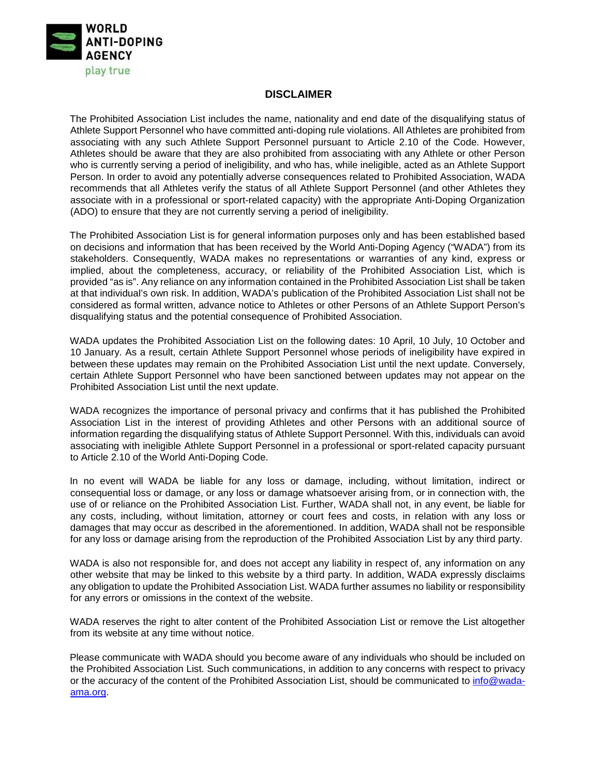

## **DISCLAIMER**

The Prohibited Association List includes the name, nationality and end date of the disqualifying status of Athlete Support Personnel who have committed anti-doping rule violations. All Athletes are prohibited from associating with any such Athlete Support Personnel pursuant to Article 2.10 of the Code. However, Athletes should be aware that they are also prohibited from associating with any Athlete or other Person who is currently serving a period of ineligibility, and who has, while ineligible, acted as an Athlete Support Person. In order to avoid any potentially adverse consequences related to Prohibited Association, WADA recommends that all Athletes verify the status of all Athlete Support Personnel (and other Athletes they associate with in a professional or sport-related capacity) with the appropriate Anti-Doping Organization (ADO) to ensure that they are not currently serving a period of ineligibility.

The Prohibited Association List is for general information purposes only and has been established based on decisions and information that has been received by the World Anti-Doping Agency ("WADA") from its stakeholders. Consequently, WADA makes no representations or warranties of any kind, express or implied, about the completeness, accuracy, or reliability of the Prohibited Association List, which is provided "as is". Any reliance on any information contained in the Prohibited Association List shall be taken at that individual's own risk. In addition, WADA's publication of the Prohibited Association List shall not be considered as formal written, advance notice to Athletes or other Persons of an Athlete Support Person's disqualifying status and the potential consequence of Prohibited Association.

WADA updates the Prohibited Association List on the following dates: 10 April, 10 July, 10 October and 10 January. As a result, certain Athlete Support Personnel whose periods of ineligibility have expired in between these updates may remain on the Prohibited Association List until the next update. Conversely, certain Athlete Support Personnel who have been sanctioned between updates may not appear on the Prohibited Association List until the next update.

WADA recognizes the importance of personal privacy and confirms that it has published the Prohibited Association List in the interest of providing Athletes and other Persons with an additional source of information regarding the disqualifying status of Athlete Support Personnel. With this, individuals can avoid associating with ineligible Athlete Support Personnel in a professional or sport-related capacity pursuant to Article 2.10 of the World Anti-Doping Code.

In no event will WADA be liable for any loss or damage, including, without limitation, indirect or consequential loss or damage, or any loss or damage whatsoever arising from, or in connection with, the use of or reliance on the Prohibited Association List. Further, WADA shall not, in any event, be liable for any costs, including, without limitation, attorney or court fees and costs, in relation with any loss or damages that may occur as described in the aforementioned. In addition, WADA shall not be responsible for any loss or damage arising from the reproduction of the Prohibited Association List by any third party.

WADA is also not responsible for, and does not accept any liability in respect of, any information on any other website that may be linked to this website by a third party. In addition, WADA expressly disclaims any obligation to update the Prohibited Association List. WADA further assumes no liability or responsibility for any errors or omissions in the context of the website.

WADA reserves the right to alter content of the Prohibited Association List or remove the List altogether from its website at any time without notice.

Please communicate with WADA should you become aware of any individuals who should be included on the Prohibited Association List. Such communications, in addition to any concerns with respect to privacy or the accuracy of the content of the Prohibited Association List, should be communicated to info@wadaama.org.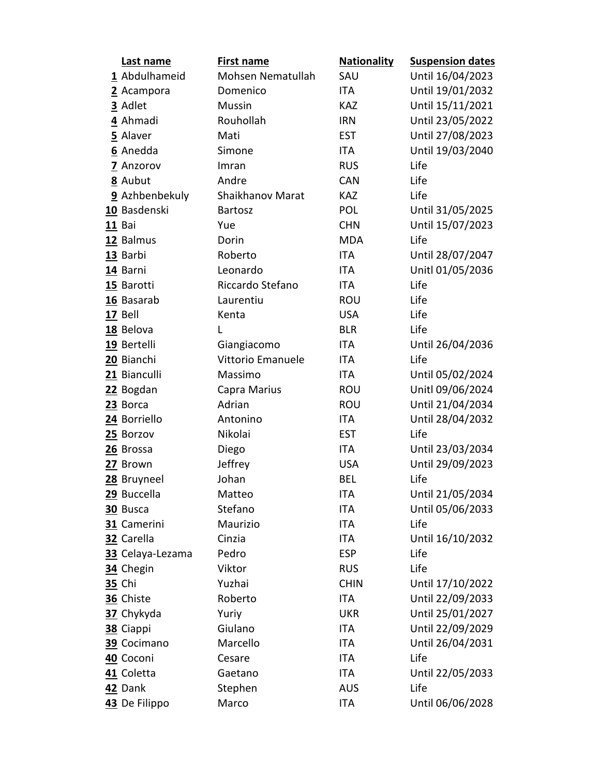| Last name        | <b>First name</b> | <b>Nationality</b> | <b>Suspension dates</b> |
|------------------|-------------------|--------------------|-------------------------|
| 1 Abdulhameid    | Mohsen Nematullah | SAU                | Until 16/04/2023        |
| 2 Acampora       | Domenico          | <b>ITA</b>         | Until 19/01/2032        |
| 3 Adlet          | Mussin            | <b>KAZ</b>         | Until 15/11/2021        |
| 4 Ahmadi         | Rouhollah         | <b>IRN</b>         | Until 23/05/2022        |
| 5 Alaver         | Mati              | <b>EST</b>         | Until 27/08/2023        |
| 6 Anedda         | Simone            | <b>ITA</b>         | Until 19/03/2040        |
| 7 Anzorov        | Imran             | <b>RUS</b>         | Life                    |
| 8 Aubut          | Andre             | <b>CAN</b>         | Life                    |
| 9 Azhbenbekuly   | Shaikhanov Marat  | <b>KAZ</b>         | Life                    |
| 10 Basdenski     | <b>Bartosz</b>    | POL                | Until 31/05/2025        |
| 11 Bai           | Yue               | <b>CHN</b>         | Until 15/07/2023        |
| 12 Balmus        | Dorin             | <b>MDA</b>         | Life                    |
| 13 Barbi         | Roberto           | <b>ITA</b>         | Until 28/07/2047        |
| 14 Barni         | Leonardo          | ITA                | Unitl 01/05/2036        |
| 15 Barotti       | Riccardo Stefano  | <b>ITA</b>         | Life                    |
| 16 Basarab       | Laurentiu         | <b>ROU</b>         | Life                    |
| 17 Bell          | Kenta             | <b>USA</b>         | Life                    |
| 18 Belova        | L                 | <b>BLR</b>         | Life                    |
| 19 Bertelli      | Giangiacomo       | <b>ITA</b>         | Until 26/04/2036        |
| 20 Bianchi       | Vittorio Emanuele | <b>ITA</b>         | Life                    |
| 21 Bianculli     | Massimo           | <b>ITA</b>         | Until 05/02/2024        |
| 22 Bogdan        | Capra Marius      | <b>ROU</b>         | Unitl 09/06/2024        |
| 23 Borca         | Adrian            | <b>ROU</b>         | Until 21/04/2034        |
| 24 Borriello     | Antonino          | <b>ITA</b>         | Until 28/04/2032        |
| 25 Borzov        | Nikolai           | <b>EST</b>         | Life                    |
| 26 Brossa        | Diego             | <b>ITA</b>         | Until 23/03/2034        |
| 27 Brown         | Jeffrey           | <b>USA</b>         | Until 29/09/2023        |
| 28 Bruyneel      | Johan             | <b>BEL</b>         | Life                    |
| 29 Buccella      | Matteo            | <b>ITA</b>         | Until 21/05/2034        |
| 30 Busca         | Stefano           | ITA                | Until 05/06/2033        |
| 31 Camerini      | Maurizio          | ITA                | Life                    |
| 32 Carella       | Cinzia            | <b>ITA</b>         | Until 16/10/2032        |
| 33 Celaya-Lezama | Pedro             | <b>ESP</b>         | Life                    |
| 34 Chegin        | Viktor            | <b>RUS</b>         | Life                    |
| <b>35 Chi</b>    | Yuzhai            | <b>CHIN</b>        | Until 17/10/2022        |
| 36 Chiste        | Roberto           | <b>ITA</b>         | Until 22/09/2033        |
| 37 Chykyda       | Yuriy             | <b>UKR</b>         | Until 25/01/2027        |
| 38 Ciappi        | Giulano           | ITA                | Until 22/09/2029        |
| 39 Cocimano      | Marcello          | ITA                | Until 26/04/2031        |
| 40 Coconi        | Cesare            | ITA                | Life                    |
| 41 Coletta       | Gaetano           | <b>ITA</b>         | Until 22/05/2033        |
| 42 Dank          | Stephen           | <b>AUS</b>         | Life                    |
| 43 De Filippo    | Marco             | <b>ITA</b>         | Until 06/06/2028        |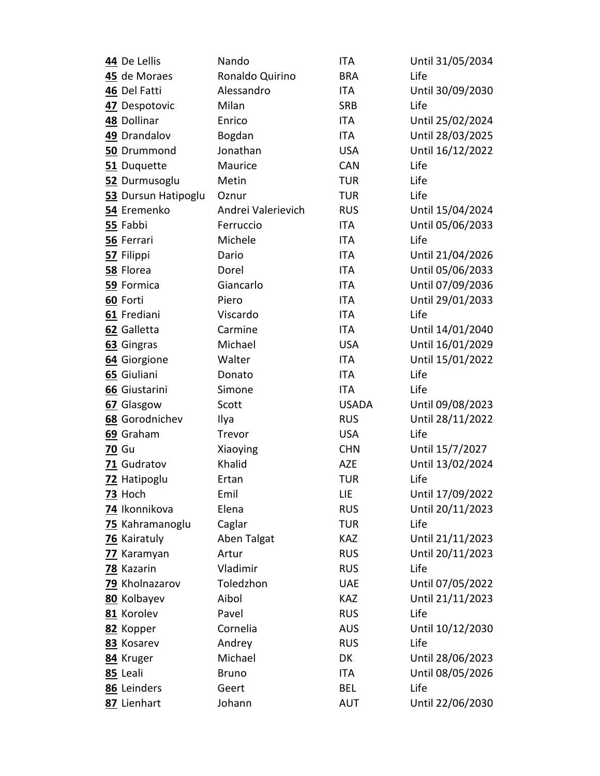| 44 De Lellis               | Nando              | <b>ITA</b>        | Until 31/05/2034         |
|----------------------------|--------------------|-------------------|--------------------------|
| 45 de Moraes               | Ronaldo Quirino    | <b>BRA</b>        | Life                     |
| 46 Del Fatti               | Alessandro         | <b>ITA</b>        | Until 30/09/2030         |
| 47 Despotovic              | Milan              | <b>SRB</b>        | Life                     |
| 48 Dollinar                | Enrico             | ITA               | Until 25/02/2024         |
| 49 Drandalov               | Bogdan             | <b>ITA</b>        | Until 28/03/2025         |
| 50 Drummond                | Jonathan           | <b>USA</b>        | Until 16/12/2022         |
| 51 Duquette                | Maurice            | <b>CAN</b>        | Life                     |
| 52 Durmusoglu              | Metin              | <b>TUR</b>        | Life                     |
| 53 Dursun Hatipoglu        | Oznur              | <b>TUR</b>        | Life                     |
| 54 Eremenko                | Andrei Valerievich | <b>RUS</b>        | Until 15/04/2024         |
| 55 Fabbi                   | Ferruccio          | ITA               | Until 05/06/2033         |
| 56 Ferrari                 | Michele            | <b>ITA</b>        | Life                     |
| 57 Filippi                 | Dario              | <b>ITA</b>        | Until 21/04/2026         |
| 58 Florea                  | Dorel              | <b>ITA</b>        | Until 05/06/2033         |
| 59 Formica                 | Giancarlo          | <b>ITA</b>        | Until 07/09/2036         |
| 60 Forti                   | Piero              | <b>ITA</b>        | Until 29/01/2033         |
| 61 Frediani                | Viscardo           | <b>ITA</b>        | Life                     |
| 62 Galletta                | Carmine            | ITA               | Until 14/01/2040         |
| 63 Gingras                 | Michael            | <b>USA</b>        | Until 16/01/2029         |
| 64 Giorgione               | Walter             | <b>ITA</b>        | Until 15/01/2022         |
| 65 Giuliani                | Donato             | <b>ITA</b>        | Life                     |
| 66 Giustarini              | Simone             | <b>ITA</b>        | Life                     |
| 67 Glasgow                 | Scott              | <b>USADA</b>      | Until 09/08/2023         |
| 68 Gorodnichev             | Ilya               | <b>RUS</b>        | Until 28/11/2022         |
| 69 Graham                  | Trevor             | <b>USA</b>        | Life                     |
| <b>70 Gu</b>               | Xiaoying           | <b>CHN</b>        | Until 15/7/2027          |
| 71 Gudratov                | Khalid             | AZE               | Until 13/02/2024         |
| 72 Hatipoglu               | Ertan              | <b>TUR</b>        | Life                     |
| <u>73</u> Hoch             | Emil               | LIE               | Until 17/09/2022         |
| 74 Ikonnikova              | Elena              | <b>RUS</b>        | Until 20/11/2023         |
| 75 Kahramanoglu            | Caglar             | <b>TUR</b>        | Life                     |
| 76 Kairatuly               | Aben Talgat        | <b>KAZ</b>        | Until 21/11/2023         |
| 77 Karamyan                | Artur              | <b>RUS</b>        | Until 20/11/2023         |
| 78 Kazarin                 | Vladimir           | <b>RUS</b>        | Life                     |
| 79 Kholnazarov             | Toledzhon          | <b>UAE</b>        | Until 07/05/2022         |
| 80 Kolbayev                |                    |                   |                          |
| 81 Korolev                 | Aibol              | <b>KAZ</b>        | Until 21/11/2023         |
|                            | Pavel              | <b>RUS</b>        | Life                     |
| 82 Kopper                  | Cornelia           | <b>AUS</b>        | Until 10/12/2030         |
| 83 Kosarev                 | Andrey             | <b>RUS</b>        | Life                     |
| 84 Kruger                  | Michael            | DK                | Until 28/06/2023         |
| 85 Leali                   | <b>Bruno</b>       | ITA               | Until 08/05/2026         |
| 86 Leinders<br>87 Lienhart | Geert<br>Johann    | BEL<br><b>AUT</b> | Life<br>Until 22/06/2030 |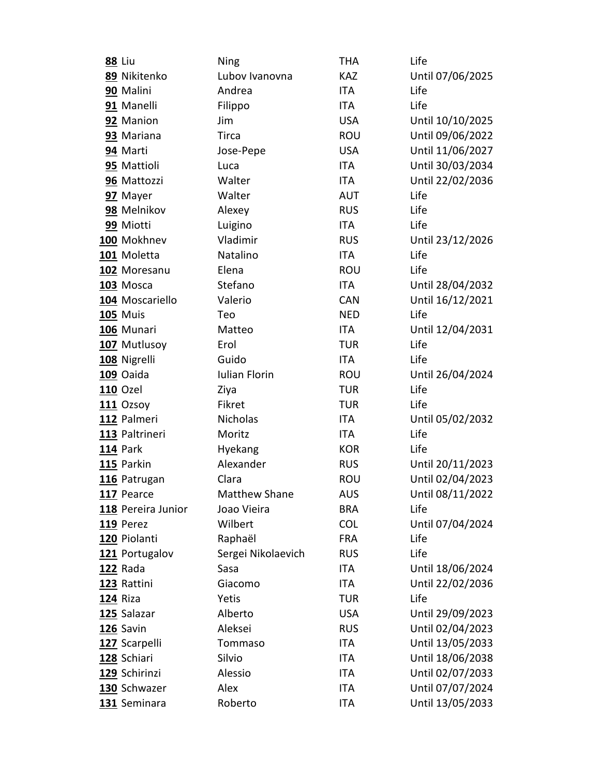| <b>88 Liu</b> |                    | Ning                 | <b>THA</b> | Life             |
|---------------|--------------------|----------------------|------------|------------------|
|               | 89 Nikitenko       | Lubov Ivanovna       | <b>KAZ</b> | Until 07/06/2025 |
|               | 90 Malini          | Andrea               | <b>ITA</b> | Life             |
|               | 91 Manelli         | Filippo              | ITA        | Life             |
|               | 92 Manion          | Jim                  | <b>USA</b> | Until 10/10/2025 |
|               | 93 Mariana         | Tirca                | <b>ROU</b> | Until 09/06/2022 |
|               | 94 Marti           | Jose-Pepe            | <b>USA</b> | Until 11/06/2027 |
|               | 95 Mattioli        | Luca                 | ITA        | Until 30/03/2034 |
|               | 96 Mattozzi        | Walter               | <b>ITA</b> | Until 22/02/2036 |
|               | 97 Mayer           | Walter               | <b>AUT</b> | Life             |
|               | 98 Melnikov        | Alexey               | <b>RUS</b> | Life             |
|               | 99 Miotti          | Luigino              | ITA        | Life             |
|               | 100 Mokhnev        | Vladimir             | <b>RUS</b> | Until 23/12/2026 |
|               | 101 Moletta        | Natalino             | <b>ITA</b> | Life             |
|               | 102 Moresanu       | Elena                | <b>ROU</b> | Life             |
|               | 103 Mosca          | Stefano              | <b>ITA</b> | Until 28/04/2032 |
|               | 104 Moscariello    | Valerio              | CAN        | Until 16/12/2021 |
|               | <b>105 Muis</b>    | Teo                  | <b>NED</b> | Life             |
|               | 106 Munari         | Matteo               | ITA        | Until 12/04/2031 |
|               | 107 Mutlusoy       | Erol                 | <b>TUR</b> | Life             |
|               | 108 Nigrelli       | Guido                | <b>ITA</b> | Life             |
|               | 109 Oaida          | <b>Iulian Florin</b> | <b>ROU</b> | Until 26/04/2024 |
|               | <b>110 Ozel</b>    | Ziya                 | <b>TUR</b> | Life             |
|               | 111 Ozsoy          | Fikret               | <b>TUR</b> | Life             |
|               | 112 Palmeri        | Nicholas             | <b>ITA</b> | Until 05/02/2032 |
|               | 113 Paltrineri     | Moritz               | ITA        | Life             |
|               | 114 Park           | Hyekang              | <b>KOR</b> | Life             |
|               | 115 Parkin         | Alexander            | <b>RUS</b> | Until 20/11/2023 |
|               | 116 Patrugan       | Clara                | <b>ROU</b> | Until 02/04/2023 |
|               | 117 Pearce         | <b>Matthew Shane</b> | <b>AUS</b> | Until 08/11/2022 |
|               | 118 Pereira Junior | Joao Vieira          | <b>BRA</b> | Life             |
|               | 119 Perez          | Wilbert              | <b>COL</b> | Until 07/04/2024 |
|               | 120 Piolanti       | Raphaël              | <b>FRA</b> | Life             |
|               | 121 Portugalov     | Sergei Nikolaevich   | <b>RUS</b> | Life             |
|               | 122 Rada           | Sasa                 | ITA        | Until 18/06/2024 |
|               | 123 Rattini        | Giacomo              | ITA        | Until 22/02/2036 |
| 124 Riza      |                    | Yetis                | <b>TUR</b> | Life             |
|               | 125 Salazar        | Alberto              | <b>USA</b> | Until 29/09/2023 |
|               | 126 Savin          | Aleksei              | <b>RUS</b> | Until 02/04/2023 |
|               | 127 Scarpelli      | Tommaso              | ITA        | Until 13/05/2033 |
|               | 128 Schiari        | Silvio               | ITA        | Until 18/06/2038 |
|               | 129 Schirinzi      | Alessio              | ITA        | Until 02/07/2033 |
|               | 130 Schwazer       | Alex                 | ITA        | Until 07/07/2024 |
|               | 131 Seminara       | Roberto              | <b>ITA</b> | Until 13/05/2033 |